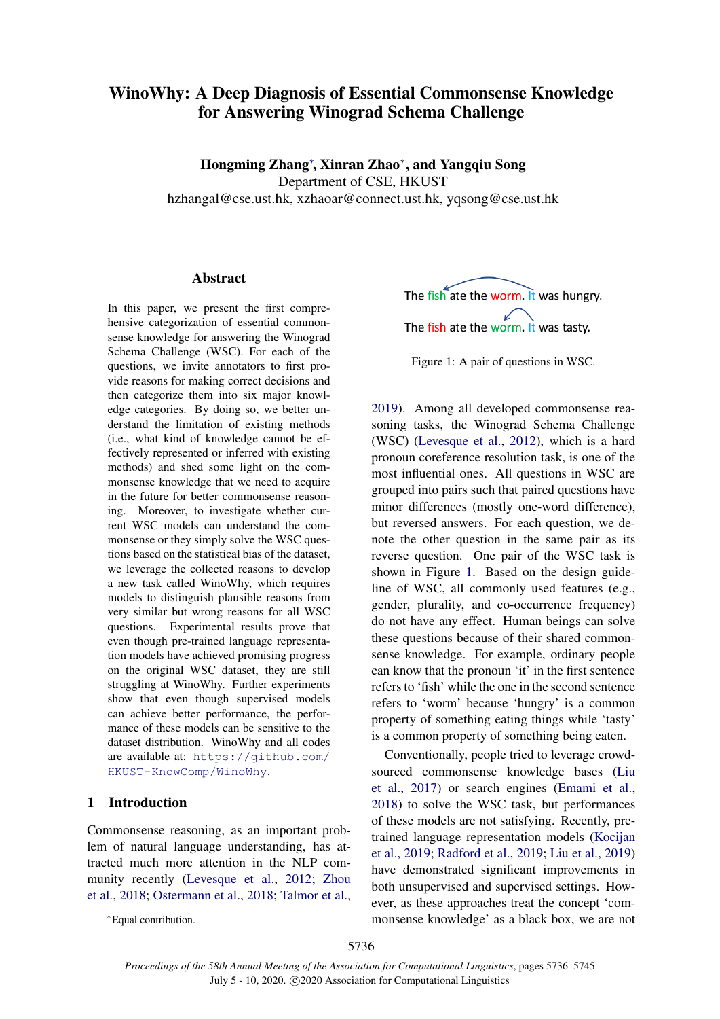# WinoWhy: A Deep Diagnosis of Essential Commonsense Knowledge for Answering Winograd Schema Challenge

Hongming Zhang<sup>∗</sup>, Xinran Zhao<sup>∗</sup>, and Yangqiu Song Department of CSE, HKUST hzhangal@cse.ust.hk, xzhaoar@connect.ust.hk, yqsong@cse.ust.hk

# Abstract

In this paper, we present the first comprehensive categorization of essential commonsense knowledge for answering the Winograd Schema Challenge (WSC). For each of the questions, we invite annotators to first provide reasons for making correct decisions and then categorize them into six major knowledge categories. By doing so, we better understand the limitation of existing methods (i.e., what kind of knowledge cannot be effectively represented or inferred with existing methods) and shed some light on the commonsense knowledge that we need to acquire in the future for better commonsense reasoning. Moreover, to investigate whether current WSC models can understand the commonsense or they simply solve the WSC questions based on the statistical bias of the dataset, we leverage the collected reasons to develop a new task called WinoWhy, which requires models to distinguish plausible reasons from very similar but wrong reasons for all WSC questions. Experimental results prove that even though pre-trained language representation models have achieved promising progress on the original WSC dataset, they are still struggling at WinoWhy. Further experiments show that even though supervised models can achieve better performance, the performance of these models can be sensitive to the dataset distribution. WinoWhy and all codes are available at: [https://github.com/](https://github.com/HKUST-KnowComp/WinoWhy) [HKUST-KnowComp/WinoWhy](https://github.com/HKUST-KnowComp/WinoWhy).

# 1 Introduction

Commonsense reasoning, as an important problem of natural language understanding, has attracted much more attention in the NLP community recently [\(Levesque et al.,](#page-9-0) [2012;](#page-9-0) [Zhou](#page-9-1) [et al.,](#page-9-1) [2018;](#page-9-1) [Ostermann et al.,](#page-9-2) [2018;](#page-9-2) [Talmor et al.,](#page-9-3) Figure 1: A pair of questions in WSC.

[2019\)](#page-9-3). Among all developed commonsense reasoning tasks, the Winograd Schema Challenge (WSC) [\(Levesque et al.,](#page-9-0) [2012\)](#page-9-0), which is a hard pronoun coreference resolution task, is one of the most influential ones. All questions in WSC are grouped into pairs such that paired questions have minor differences (mostly one-word difference), but reversed answers. For each question, we denote the other question in the same pair as its reverse question. One pair of the WSC task is shown in Figure [1.](#page-0-0) Based on the design guideline of WSC, all commonly used features (e.g., gender, plurality, and co-occurrence frequency) do not have any effect. Human beings can solve these questions because of their shared commonsense knowledge. For example, ordinary people can know that the pronoun 'it' in the first sentence refers to 'fish' while the one in the second sentence refers to 'worm' because 'hungry' is a common property of something eating things while 'tasty' is a common property of something being eaten.

Conventionally, people tried to leverage crowdsourced commonsense knowledge bases [\(Liu](#page-9-4) [et al.,](#page-9-4) [2017\)](#page-9-4) or search engines [\(Emami et al.,](#page-9-5) [2018\)](#page-9-5) to solve the WSC task, but performances of these models are not satisfying. Recently, pretrained language representation models [\(Kocijan](#page-9-6) [et al.,](#page-9-6) [2019;](#page-9-6) [Radford et al.,](#page-9-7) [2019;](#page-9-7) [Liu et al.,](#page-9-8) [2019\)](#page-9-8) have demonstrated significant improvements in both unsupervised and supervised settings. However, as these approaches treat the concept 'commonsense knowledge' as a black box, we are not

<span id="page-0-0"></span>The fish ate the worm. It was hungry. The fish ate the worm. It was tasty.

<sup>∗</sup>Equal contribution.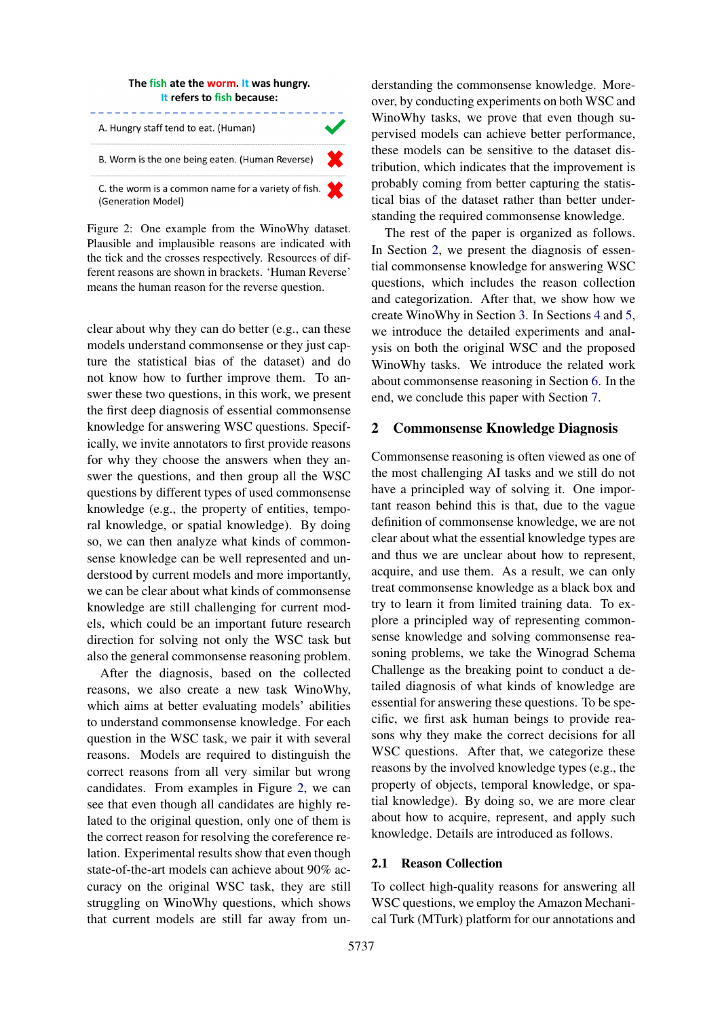<span id="page-1-0"></span>

Figure 2: One example from the WinoWhy dataset. Plausible and implausible reasons are indicated with the tick and the crosses respectively. Resources of different reasons are shown in brackets. 'Human Reverse' means the human reason for the reverse question.

clear about why they can do better (e.g., can these models understand commonsense or they just capture the statistical bias of the dataset) and do not know how to further improve them. To answer these two questions, in this work, we present the first deep diagnosis of essential commonsense knowledge for answering WSC questions. Specifically, we invite annotators to first provide reasons for why they choose the answers when they answer the questions, and then group all the WSC questions by different types of used commonsense knowledge (e.g., the property of entities, temporal knowledge, or spatial knowledge). By doing so, we can then analyze what kinds of commonsense knowledge can be well represented and understood by current models and more importantly, we can be clear about what kinds of commonsense knowledge are still challenging for current models, which could be an important future research direction for solving not only the WSC task but also the general commonsense reasoning problem.

After the diagnosis, based on the collected reasons, we also create a new task WinoWhy, which aims at better evaluating models' abilities to understand commonsense knowledge. For each question in the WSC task, we pair it with several reasons. Models are required to distinguish the correct reasons from all very similar but wrong candidates. From examples in Figure [2,](#page-1-0) we can see that even though all candidates are highly related to the original question, only one of them is the correct reason for resolving the coreference relation. Experimental results show that even though state-of-the-art models can achieve about 90% accuracy on the original WSC task, they are still struggling on WinoWhy questions, which shows that current models are still far away from un-

derstanding the commonsense knowledge. Moreover, by conducting experiments on both WSC and WinoWhy tasks, we prove that even though supervised models can achieve better performance, these models can be sensitive to the dataset distribution, which indicates that the improvement is probably coming from better capturing the statistical bias of the dataset rather than better understanding the required commonsense knowledge.

The rest of the paper is organized as follows. In Section [2,](#page-1-1) we present the diagnosis of essential commonsense knowledge for answering WSC questions, which includes the reason collection and categorization. After that, we show how we create WinoWhy in Section [3.](#page-3-0) In Sections [4](#page-4-0) and [5,](#page-6-0) we introduce the detailed experiments and analysis on both the original WSC and the proposed WinoWhy tasks. We introduce the related work about commonsense reasoning in Section [6.](#page-8-0) In the end, we conclude this paper with Section [7.](#page-8-1)

# <span id="page-1-1"></span>2 Commonsense Knowledge Diagnosis

Commonsense reasoning is often viewed as one of the most challenging AI tasks and we still do not have a principled way of solving it. One important reason behind this is that, due to the vague definition of commonsense knowledge, we are not clear about what the essential knowledge types are and thus we are unclear about how to represent, acquire, and use them. As a result, we can only treat commonsense knowledge as a black box and try to learn it from limited training data. To explore a principled way of representing commonsense knowledge and solving commonsense reasoning problems, we take the Winograd Schema Challenge as the breaking point to conduct a detailed diagnosis of what kinds of knowledge are essential for answering these questions. To be specific, we first ask human beings to provide reasons why they make the correct decisions for all WSC questions. After that, we categorize these reasons by the involved knowledge types (e.g., the property of objects, temporal knowledge, or spatial knowledge). By doing so, we are more clear about how to acquire, represent, and apply such knowledge. Details are introduced as follows.

# <span id="page-1-2"></span>2.1 Reason Collection

To collect high-quality reasons for answering all WSC questions, we employ the Amazon Mechanical Turk (MTurk) platform for our annotations and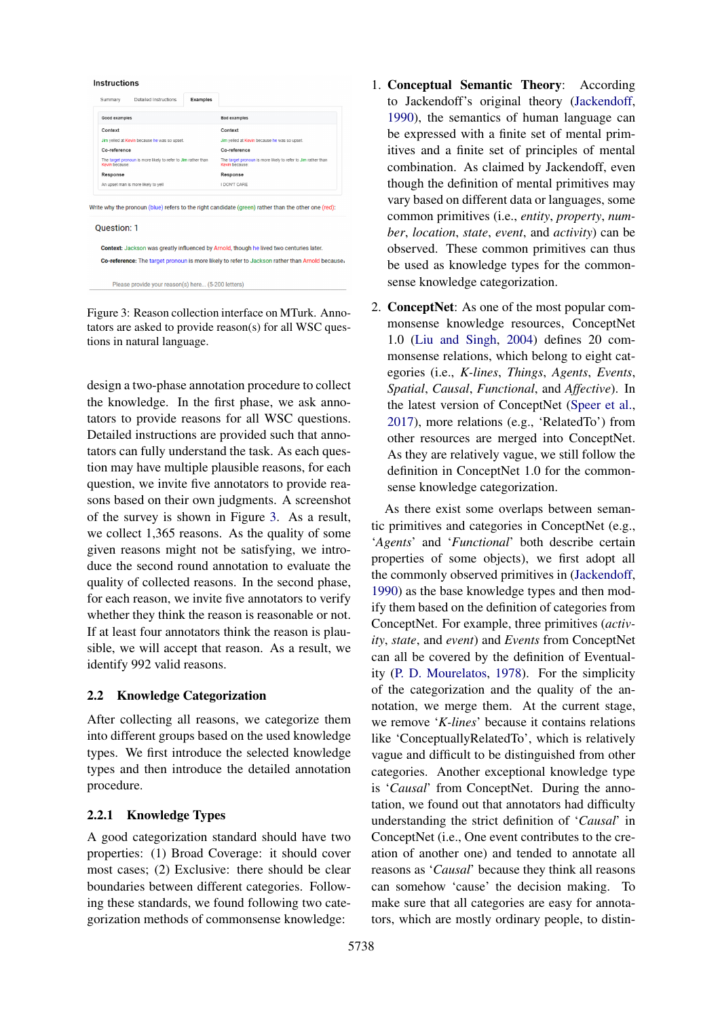<span id="page-2-0"></span>Instructions



Figure 3: Reason collection interface on MTurk. Annotators are asked to provide reason(s) for all WSC questions in natural language.

design a two-phase annotation procedure to collect the knowledge. In the first phase, we ask annotators to provide reasons for all WSC questions. Detailed instructions are provided such that annotators can fully understand the task. As each question may have multiple plausible reasons, for each question, we invite five annotators to provide reasons based on their own judgments. A screenshot of the survey is shown in Figure [3.](#page-2-0) As a result, we collect 1,365 reasons. As the quality of some given reasons might not be satisfying, we introduce the second round annotation to evaluate the quality of collected reasons. In the second phase, for each reason, we invite five annotators to verify whether they think the reason is reasonable or not. If at least four annotators think the reason is plausible, we will accept that reason. As a result, we identify 992 valid reasons.

# 2.2 Knowledge Categorization

After collecting all reasons, we categorize them into different groups based on the used knowledge types. We first introduce the selected knowledge types and then introduce the detailed annotation procedure.

# 2.2.1 Knowledge Types

A good categorization standard should have two properties: (1) Broad Coverage: it should cover most cases; (2) Exclusive: there should be clear boundaries between different categories. Following these standards, we found following two categorization methods of commonsense knowledge:

- 1. Conceptual Semantic Theory: According to Jackendoff's original theory [\(Jackendoff,](#page-9-9) [1990\)](#page-9-9), the semantics of human language can be expressed with a finite set of mental primitives and a finite set of principles of mental combination. As claimed by Jackendoff, even though the definition of mental primitives may vary based on different data or languages, some common primitives (i.e., *entity*, *property*, *number*, *location*, *state*, *event*, and *activity*) can be observed. These common primitives can thus be used as knowledge types for the commonsense knowledge categorization.
- 2. ConceptNet: As one of the most popular commonsense knowledge resources, ConceptNet 1.0 [\(Liu and Singh,](#page-9-10) [2004\)](#page-9-10) defines 20 commonsense relations, which belong to eight categories (i.e., *K-lines*, *Things*, *Agents*, *Events*, *Spatial*, *Causal*, *Functional*, and *Affective*). In the latest version of ConceptNet [\(Speer et al.,](#page-9-11) [2017\)](#page-9-11), more relations (e.g., 'RelatedTo') from other resources are merged into ConceptNet. As they are relatively vague, we still follow the definition in ConceptNet 1.0 for the commonsense knowledge categorization.

As there exist some overlaps between semantic primitives and categories in ConceptNet (e.g., '*Agents*' and '*Functional*' both describe certain properties of some objects), we first adopt all the commonly observed primitives in [\(Jackendoff,](#page-9-9) [1990\)](#page-9-9) as the base knowledge types and then modify them based on the definition of categories from ConceptNet. For example, three primitives (*activity*, *state*, and *event*) and *Events* from ConceptNet can all be covered by the definition of Eventuality [\(P. D. Mourelatos,](#page-9-12) [1978\)](#page-9-12). For the simplicity of the categorization and the quality of the annotation, we merge them. At the current stage, we remove '*K-lines*' because it contains relations like 'ConceptuallyRelatedTo', which is relatively vague and difficult to be distinguished from other categories. Another exceptional knowledge type is '*Causal*' from ConceptNet. During the annotation, we found out that annotators had difficulty understanding the strict definition of '*Causal*' in ConceptNet (i.e., One event contributes to the creation of another one) and tended to annotate all reasons as '*Causal*' because they think all reasons can somehow 'cause' the decision making. To make sure that all categories are easy for annotators, which are mostly ordinary people, to distin-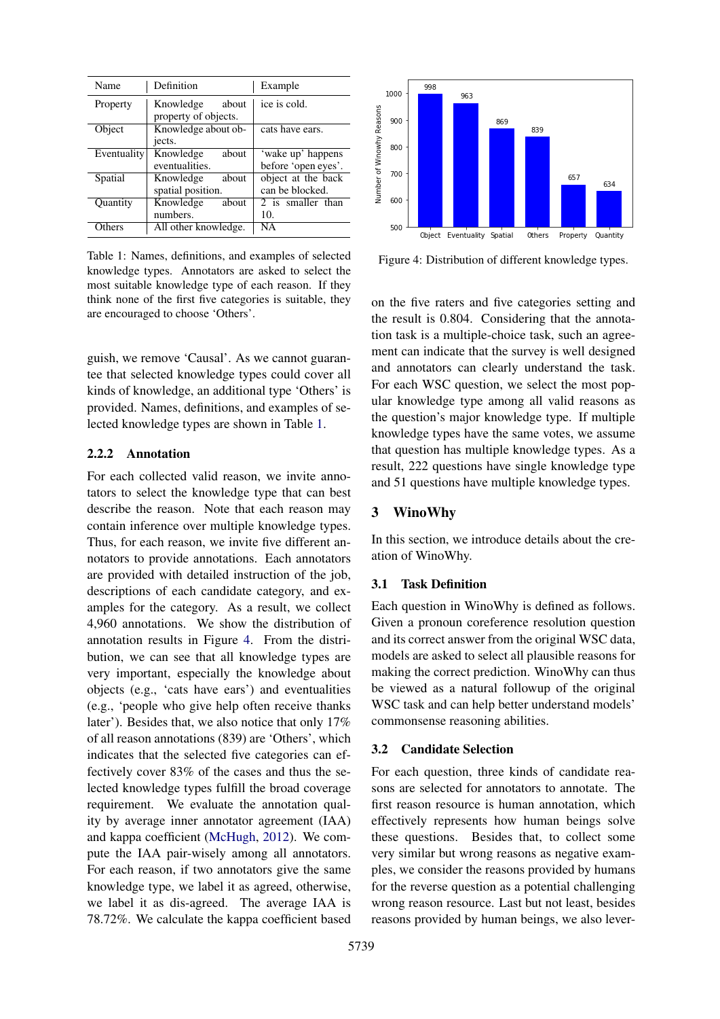<span id="page-3-1"></span>

| Name        | Definition                                 | Example                                  |
|-------------|--------------------------------------------|------------------------------------------|
| Property    | Knowledge<br>about<br>property of objects. | ice is cold.                             |
| Object      | Knowledge about ob-<br>jects.              | cats have ears.                          |
| Eventuality | Knowledge<br>about<br>eventualities.       | 'wake up' happens<br>before 'open eyes'. |
| Spatial     | Knowledge<br>about<br>spatial position.    | object at the back<br>can be blocked.    |
| Quantity    | Knowledge<br>about<br>numbers.             | 2 is smaller than<br>10.                 |
| Others      | All other knowledge.                       | NА                                       |

Table 1: Names, definitions, and examples of selected knowledge types. Annotators are asked to select the most suitable knowledge type of each reason. If they think none of the first five categories is suitable, they are encouraged to choose 'Others'.

guish, we remove 'Causal'. As we cannot guarantee that selected knowledge types could cover all kinds of knowledge, an additional type 'Others' is provided. Names, definitions, and examples of selected knowledge types are shown in Table [1.](#page-3-1)

#### 2.2.2 Annotation

For each collected valid reason, we invite annotators to select the knowledge type that can best describe the reason. Note that each reason may contain inference over multiple knowledge types. Thus, for each reason, we invite five different annotators to provide annotations. Each annotators are provided with detailed instruction of the job, descriptions of each candidate category, and examples for the category. As a result, we collect 4,960 annotations. We show the distribution of annotation results in Figure [4.](#page-3-2) From the distribution, we can see that all knowledge types are very important, especially the knowledge about objects (e.g., 'cats have ears') and eventualities (e.g., 'people who give help often receive thanks later'). Besides that, we also notice that only 17% of all reason annotations (839) are 'Others', which indicates that the selected five categories can effectively cover 83% of the cases and thus the selected knowledge types fulfill the broad coverage requirement. We evaluate the annotation quality by average inner annotator agreement (IAA) and kappa coefficient [\(McHugh,](#page-9-13) [2012\)](#page-9-13). We compute the IAA pair-wisely among all annotators. For each reason, if two annotators give the same knowledge type, we label it as agreed, otherwise, we label it as dis-agreed. The average IAA is 78.72%. We calculate the kappa coefficient based

<span id="page-3-2"></span>

Figure 4: Distribution of different knowledge types.

on the five raters and five categories setting and the result is 0.804. Considering that the annotation task is a multiple-choice task, such an agreement can indicate that the survey is well designed and annotators can clearly understand the task. For each WSC question, we select the most popular knowledge type among all valid reasons as the question's major knowledge type. If multiple knowledge types have the same votes, we assume that question has multiple knowledge types. As a result, 222 questions have single knowledge type and 51 questions have multiple knowledge types.

# <span id="page-3-0"></span>3 WinoWhy

In this section, we introduce details about the creation of WinoWhy.

#### 3.1 Task Definition

Each question in WinoWhy is defined as follows. Given a pronoun coreference resolution question and its correct answer from the original WSC data, models are asked to select all plausible reasons for making the correct prediction. WinoWhy can thus be viewed as a natural followup of the original WSC task and can help better understand models' commonsense reasoning abilities.

#### 3.2 Candidate Selection

For each question, three kinds of candidate reasons are selected for annotators to annotate. The first reason resource is human annotation, which effectively represents how human beings solve these questions. Besides that, to collect some very similar but wrong reasons as negative examples, we consider the reasons provided by humans for the reverse question as a potential challenging wrong reason resource. Last but not least, besides reasons provided by human beings, we also lever-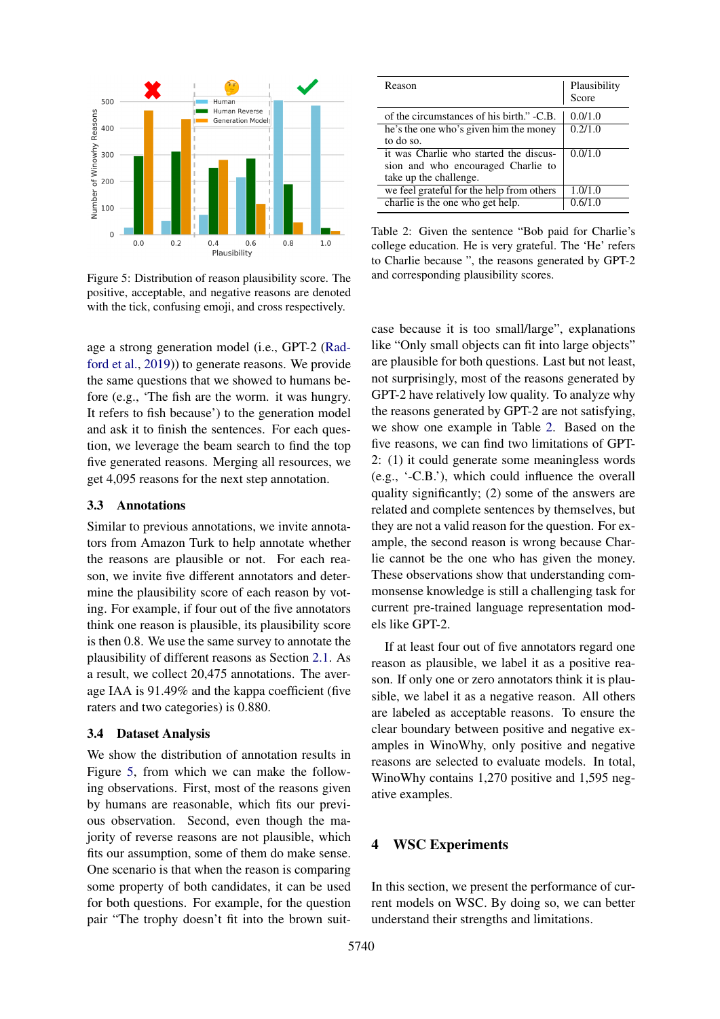<span id="page-4-1"></span>

Figure 5: Distribution of reason plausibility score. The positive, acceptable, and negative reasons are denoted with the tick, confusing emoji, and cross respectively.

age a strong generation model (i.e., GPT-2 [\(Rad](#page-9-7)[ford et al.,](#page-9-7) [2019\)](#page-9-7)) to generate reasons. We provide the same questions that we showed to humans before (e.g., 'The fish are the worm. it was hungry. It refers to fish because') to the generation model and ask it to finish the sentences. For each question, we leverage the beam search to find the top five generated reasons. Merging all resources, we get 4,095 reasons for the next step annotation.

#### 3.3 Annotations

Similar to previous annotations, we invite annotators from Amazon Turk to help annotate whether the reasons are plausible or not. For each reason, we invite five different annotators and determine the plausibility score of each reason by voting. For example, if four out of the five annotators think one reason is plausible, its plausibility score is then 0.8. We use the same survey to annotate the plausibility of different reasons as Section [2.1.](#page-1-2) As a result, we collect 20,475 annotations. The average IAA is 91.49% and the kappa coefficient (five raters and two categories) is 0.880.

#### 3.4 Dataset Analysis

We show the distribution of annotation results in Figure [5,](#page-4-1) from which we can make the following observations. First, most of the reasons given by humans are reasonable, which fits our previous observation. Second, even though the majority of reverse reasons are not plausible, which fits our assumption, some of them do make sense. One scenario is that when the reason is comparing some property of both candidates, it can be used for both questions. For example, for the question pair "The trophy doesn't fit into the brown suit-

<span id="page-4-2"></span>

| Reason                                    | Plausibility<br>Score |
|-------------------------------------------|-----------------------|
| of the circumstances of his birth." -C.B. | 0.0/1.0               |
| he's the one who's given him the money    | 0.2/1.0               |
| to do so.                                 |                       |
| it was Charlie who started the discus-    | 0.0/1.0               |
| sion and who encouraged Charlie to        |                       |
| take up the challenge.                    |                       |
| we feel grateful for the help from others | 1.0/1.0               |
| charlie is the one who get help.          | 0.6/1.0               |

Table 2: Given the sentence "Bob paid for Charlie's college education. He is very grateful. The 'He' refers to Charlie because ", the reasons generated by GPT-2 and corresponding plausibility scores.

case because it is too small/large", explanations like "Only small objects can fit into large objects" are plausible for both questions. Last but not least, not surprisingly, most of the reasons generated by GPT-2 have relatively low quality. To analyze why the reasons generated by GPT-2 are not satisfying, we show one example in Table [2.](#page-4-2) Based on the five reasons, we can find two limitations of GPT-2: (1) it could generate some meaningless words (e.g., '-C.B.'), which could influence the overall quality significantly; (2) some of the answers are related and complete sentences by themselves, but they are not a valid reason for the question. For example, the second reason is wrong because Charlie cannot be the one who has given the money. These observations show that understanding commonsense knowledge is still a challenging task for current pre-trained language representation models like GPT-2.

If at least four out of five annotators regard one reason as plausible, we label it as a positive reason. If only one or zero annotators think it is plausible, we label it as a negative reason. All others are labeled as acceptable reasons. To ensure the clear boundary between positive and negative examples in WinoWhy, only positive and negative reasons are selected to evaluate models. In total, WinoWhy contains 1,270 positive and 1,595 negative examples.

# <span id="page-4-0"></span>4 WSC Experiments

In this section, we present the performance of current models on WSC. By doing so, we can better understand their strengths and limitations.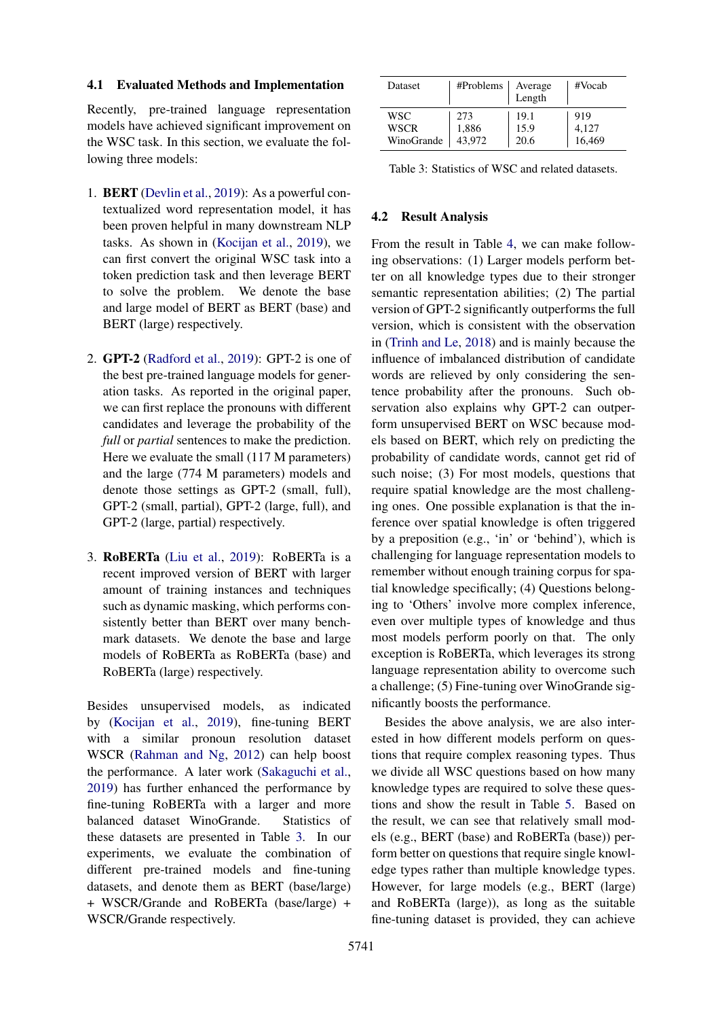#### 4.1 Evaluated Methods and Implementation

Recently, pre-trained language representation models have achieved significant improvement on the WSC task. In this section, we evaluate the following three models:

- 1. BERT [\(Devlin et al.,](#page-8-2) [2019\)](#page-8-2): As a powerful contextualized word representation model, it has been proven helpful in many downstream NLP tasks. As shown in [\(Kocijan et al.,](#page-9-6) [2019\)](#page-9-6), we can first convert the original WSC task into a token prediction task and then leverage BERT to solve the problem. We denote the base and large model of BERT as BERT (base) and BERT (large) respectively.
- 2. GPT-2 [\(Radford et al.,](#page-9-7) [2019\)](#page-9-7): GPT-2 is one of the best pre-trained language models for generation tasks. As reported in the original paper, we can first replace the pronouns with different candidates and leverage the probability of the *full* or *partial* sentences to make the prediction. Here we evaluate the small (117 M parameters) and the large (774 M parameters) models and denote those settings as GPT-2 (small, full), GPT-2 (small, partial), GPT-2 (large, full), and GPT-2 (large, partial) respectively.
- 3. RoBERTa [\(Liu et al.,](#page-9-8) [2019\)](#page-9-8): RoBERTa is a recent improved version of BERT with larger amount of training instances and techniques such as dynamic masking, which performs consistently better than BERT over many benchmark datasets. We denote the base and large models of RoBERTa as RoBERTa (base) and RoBERTa (large) respectively.

Besides unsupervised models, as indicated by [\(Kocijan et al.,](#page-9-6) [2019\)](#page-9-6), fine-tuning BERT with a similar pronoun resolution dataset WSCR [\(Rahman and Ng,](#page-9-14) [2012\)](#page-9-14) can help boost the performance. A later work [\(Sakaguchi et al.,](#page-9-15) [2019\)](#page-9-15) has further enhanced the performance by fine-tuning RoBERTa with a larger and more balanced dataset WinoGrande. Statistics of these datasets are presented in Table [3.](#page-5-0) In our experiments, we evaluate the combination of different pre-trained models and fine-tuning datasets, and denote them as BERT (base/large) + WSCR/Grande and RoBERTa (base/large) + WSCR/Grande respectively.

<span id="page-5-0"></span>

| <b>Dataset</b> | #Problems | Average<br>Length | #Vocab |
|----------------|-----------|-------------------|--------|
| WSC            | 273       | 19.1              | 919    |
| WSCR           | 1,886     | 15.9              | 4,127  |
| WinoGrande     | 43,972    | 20.6              | 16,469 |

Table 3: Statistics of WSC and related datasets.

# 4.2 Result Analysis

From the result in Table [4,](#page-6-1) we can make following observations: (1) Larger models perform better on all knowledge types due to their stronger semantic representation abilities; (2) The partial version of GPT-2 significantly outperforms the full version, which is consistent with the observation in [\(Trinh and Le,](#page-9-16) [2018\)](#page-9-16) and is mainly because the influence of imbalanced distribution of candidate words are relieved by only considering the sentence probability after the pronouns. Such observation also explains why GPT-2 can outperform unsupervised BERT on WSC because models based on BERT, which rely on predicting the probability of candidate words, cannot get rid of such noise; (3) For most models, questions that require spatial knowledge are the most challenging ones. One possible explanation is that the inference over spatial knowledge is often triggered by a preposition (e.g., 'in' or 'behind'), which is challenging for language representation models to remember without enough training corpus for spatial knowledge specifically; (4) Questions belonging to 'Others' involve more complex inference, even over multiple types of knowledge and thus most models perform poorly on that. The only exception is RoBERTa, which leverages its strong language representation ability to overcome such a challenge; (5) Fine-tuning over WinoGrande significantly boosts the performance.

Besides the above analysis, we are also interested in how different models perform on questions that require complex reasoning types. Thus we divide all WSC questions based on how many knowledge types are required to solve these questions and show the result in Table [5.](#page-6-2) Based on the result, we can see that relatively small models (e.g., BERT (base) and RoBERTa (base)) perform better on questions that require single knowledge types rather than multiple knowledge types. However, for large models (e.g., BERT (large) and RoBERTa (large)), as long as the suitable fine-tuning dataset is provided, they can achieve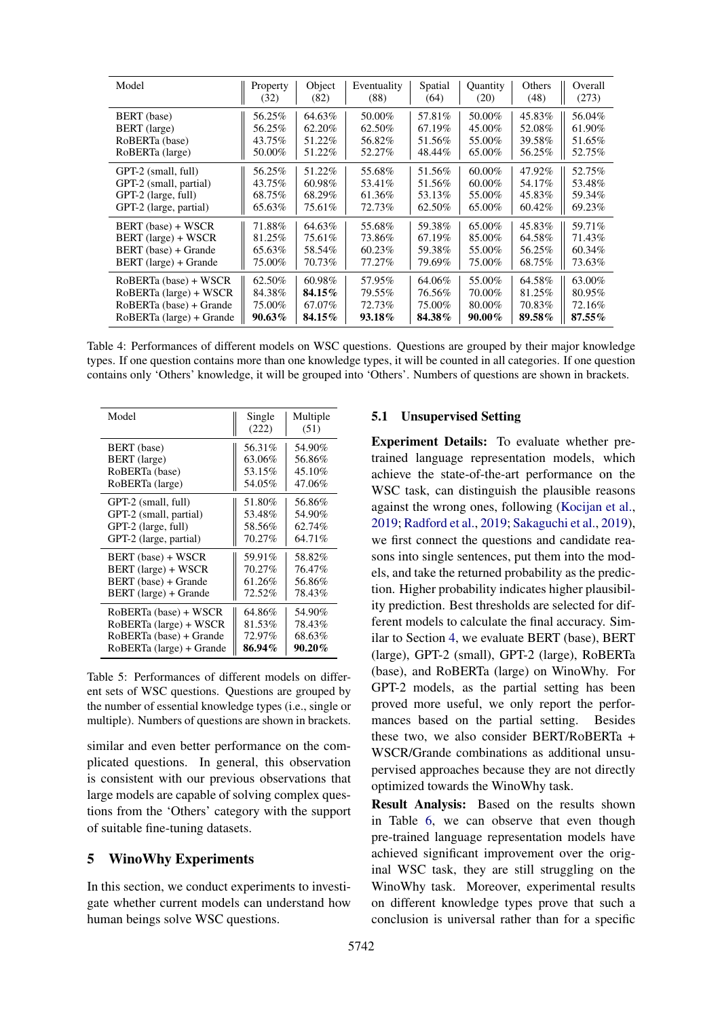<span id="page-6-1"></span>

| Model                    | Property | Object | Eventuality | Spatial | <b>Ouantity</b> | Others | Overall   |
|--------------------------|----------|--------|-------------|---------|-----------------|--------|-----------|
|                          | (32)     | (82)   | (88)        | (64)    | (20)            | (48)   | (273)     |
| BERT (base)              | 56.25%   | 64.63% | 50.00%      | 57.81%  | 50.00%          | 45.83% | 56.04%    |
| BERT (large)             | 56.25%   | 62.20% | 62.50%      | 67.19%  | 45.00%          | 52.08% | 61.90%    |
| RoBERTa (base)           | 43.75%   | 51.22% | 56.82%      | 51.56%  | 55.00%          | 39.58% | 51.65%    |
| RoBERTa (large)          | 50.00%   | 51.22% | 52.27%      | 48.44%  | 65.00%          | 56.25% | 52.75%    |
| GPT-2 (small, full)      | 56.25%   | 51.22% | 55.68%      | 51.56%  | 60.00%          | 47.92% | 52.75%    |
| GPT-2 (small, partial)   | 43.75%   | 60.98% | 53.41%      | 51.56%  | 60.00%          | 54.17% | 53.48%    |
| GPT-2 (large, full)      | 68.75%   | 68.29% | 61.36%      | 53.13%  | 55.00%          | 45.83% | 59.34%    |
| GPT-2 (large, partial)   | 65.63%   | 75.61% | 72.73%      | 62.50%  | 65.00%          | 60.42% | 69.23%    |
| BERT (base) + WSCR       | 71.88%   | 64.63% | 55.68%      | 59.38%  | 65.00%          | 45.83% | 59.71%    |
| BERT (large) + WSCR      | 81.25%   | 75.61% | 73.86%      | 67.19%  | 85.00%          | 64.58% | 71.43%    |
| BERT (base) + Grande     | 65.63%   | 58.54% | 60.23%      | 59.38%  | 55.00%          | 56.25% | 60.34%    |
| BERT (large) + Grande    | 75.00%   | 70.73% | 77.27%      | 79.69%  | 75.00%          | 68.75% | 73.63%    |
| RoBERTa (base) + WSCR    | 62.50%   | 60.98% | 57.95%      | 64.06%  | 55.00%          | 64.58% | 63.00%    |
| RoBERTa (large) + WSCR   | 84.38%   | 84.15% | 79.55%      | 76.56%  | 70.00%          | 81.25% | 80.95%    |
| RoBERTa (base) + Grande  | 75.00%   | 67.07% | 72.73%      | 75.00%  | 80.00%          | 70.83% | 72.16%    |
| RoBERTa (large) + Grande | 90.63%   | 84.15% | 93.18%      | 84.38%  | 90.00%          | 89.58% | $87.55\%$ |

Table 4: Performances of different models on WSC questions. Questions are grouped by their major knowledge types. If one question contains more than one knowledge types, it will be counted in all categories. If one question contains only 'Others' knowledge, it will be grouped into 'Others'. Numbers of questions are shown in brackets.

<span id="page-6-2"></span>

| Model                    | Single<br>(222) | Multiple<br>(51) |
|--------------------------|-----------------|------------------|
| BERT (base)              | 56.31%          | 54.90%           |
| BERT (large)             | 63.06%          | 56.86%           |
| RoBERTa (base)           | 53.15%          | 45.10%           |
| RoBERTa (large)          | 54.05%          | 47.06%           |
| GPT-2 (small, full)      | 51.80%          | 56.86%           |
| GPT-2 (small, partial)   | 53.48%          | 54.90%           |
| GPT-2 (large, full)      | 58.56%          | 62.74%           |
| GPT-2 (large, partial)   | 70.27%          | 64.71%           |
| BERT (base) + WSCR       | 59.91%          | 58.82%           |
| BERT (large) + WSCR      | 70.27%          | 76.47%           |
| BERT (base) + Grande     | 61.26%          | 56.86%           |
| BERT (large) + Grande    | 72.52%          | 78.43%           |
| RoBERTa (base) + WSCR    | 64.86%          | 54.90%           |
| RoBERTa (large) + WSCR   | 81.53%          | 78.43%           |
| RoBERTa (base) + Grande  | 72.97%          | 68.63%           |
| RoBERTa (large) + Grande | 86.94%          | 90.20%           |

Table 5: Performances of different models on different sets of WSC questions. Questions are grouped by the number of essential knowledge types (i.e., single or multiple). Numbers of questions are shown in brackets.

similar and even better performance on the complicated questions. In general, this observation is consistent with our previous observations that large models are capable of solving complex questions from the 'Others' category with the support of suitable fine-tuning datasets.

# <span id="page-6-0"></span>5 WinoWhy Experiments

In this section, we conduct experiments to investigate whether current models can understand how human beings solve WSC questions.

# 5.1 Unsupervised Setting

Experiment Details: To evaluate whether pretrained language representation models, which achieve the state-of-the-art performance on the WSC task, can distinguish the plausible reasons against the wrong ones, following [\(Kocijan et al.,](#page-9-6) [2019;](#page-9-6) [Radford et al.,](#page-9-7) [2019;](#page-9-7) [Sakaguchi et al.,](#page-9-15) [2019\)](#page-9-15), we first connect the questions and candidate reasons into single sentences, put them into the models, and take the returned probability as the prediction. Higher probability indicates higher plausibility prediction. Best thresholds are selected for different models to calculate the final accuracy. Similar to Section [4,](#page-4-0) we evaluate BERT (base), BERT (large), GPT-2 (small), GPT-2 (large), RoBERTa (base), and RoBERTa (large) on WinoWhy. For GPT-2 models, as the partial setting has been proved more useful, we only report the performances based on the partial setting. Besides these two, we also consider BERT/RoBERTa + WSCR/Grande combinations as additional unsupervised approaches because they are not directly optimized towards the WinoWhy task.

Result Analysis: Based on the results shown in Table [6,](#page-7-0) we can observe that even though pre-trained language representation models have achieved significant improvement over the original WSC task, they are still struggling on the WinoWhy task. Moreover, experimental results on different knowledge types prove that such a conclusion is universal rather than for a specific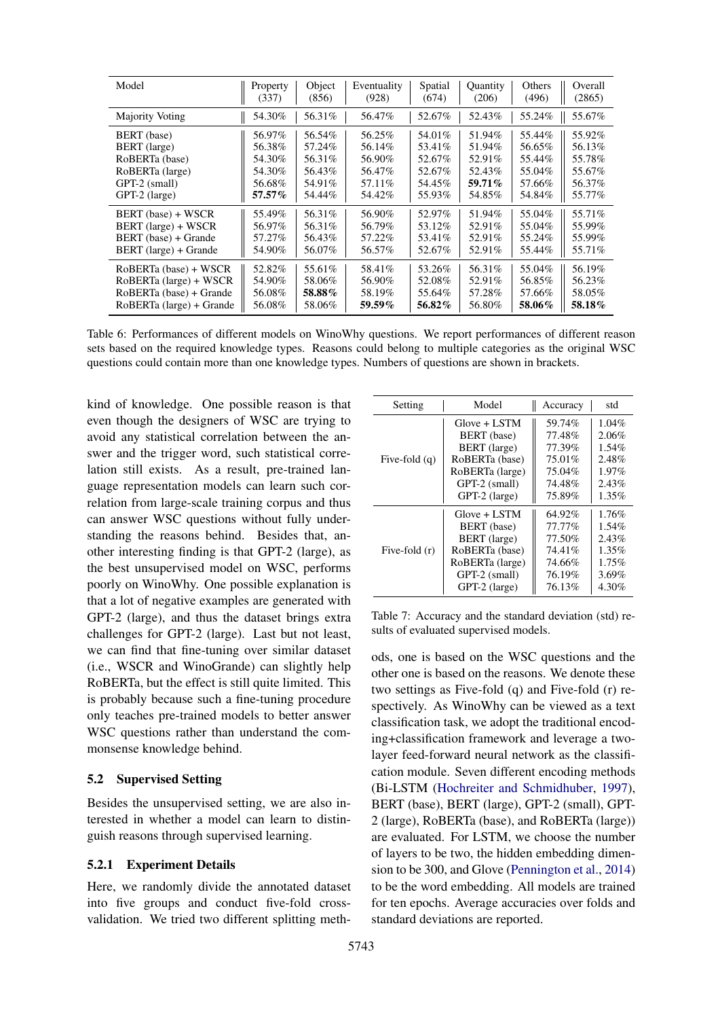<span id="page-7-0"></span>

| Model                    | Property | Object  | Eventuality | Spatial | <b>Ouantity</b> | Others | Overall |
|--------------------------|----------|---------|-------------|---------|-----------------|--------|---------|
|                          | (337)    | (856)   | (928)       | (674)   | (206)           | (496)  | (2865)  |
| <b>Majority Voting</b>   | 54.30%   | 56.31%  | 56.47%      | 52.67%  | 52.43%          | 55.24% | 55.67%  |
| BERT (base)              | 56.97%   | 56.54%  | 56.25%      | 54.01%  | 51.94%          | 55.44% | 55.92%  |
| BERT (large)             | 56.38%   | 57.24%  | 56.14%      | 53.41%  | 51.94%          | 56.65% | 56.13%  |
| RoBERTa (base)           | 54.30%   | 56.31%  | 56.90%      | 52.67%  | 52.91%          | 55.44% | 55.78%  |
| RoBERTa (large)          | 54.30%   | 56.43%  | 56.47%      | 52.67%  | 52.43%          | 55.04% | 55.67%  |
| GPT-2 (small)            | 56.68%   | 54.91%  | 57.11\%     | 54.45%  | 59.71%          | 57.66% | 56.37%  |
| GPT-2 (large)            | 57.57%   | 54.44%  | 54.42%      | 55.93%  | 54.85%          | 54.84% | 55.77%  |
| BERT (base) + WSCR       | 55.49%   | 56.31\% | 56.90%      | 52.97%  | 51.94%          | 55.04% | 55.71%  |
| BERT (large) + WSCR      | 56.97%   | 56.31%  | 56.79%      | 53.12%  | 52.91%          | 55.04% | 55.99%  |
| BERT (base) + Grande     | 57.27%   | 56.43%  | 57.22%      | 53.41\% | 52.91%          | 55.24% | 55.99%  |
| BERT (large) + Grande    | 54.90%   | 56.07%  | 56.57%      | 52.67%  | 52.91%          | 55.44% | 55.71%  |
| RoBERTa (base) + WSCR    | 52.82%   | 55.61%  | 58.41%      | 53.26%  | 56.31%          | 55.04% | 56.19%  |
| RoBERTa (large) + WSCR   | 54.90%   | 58.06%  | 56.90%      | 52.08%  | 52.91%          | 56.85% | 56.23%  |
| RoBERTa (base) + Grande  | 56.08%   | 58.88%  | 58.19%      | 55.64%  | 57.28%          | 57.66% | 58.05%  |
| RoBERTa (large) + Grande | 56.08%   | 58.06%  | 59.59%      | 56.82%  | 56.80%          | 58.06% | 58.18%  |

Table 6: Performances of different models on WinoWhy questions. We report performances of different reason sets based on the required knowledge types. Reasons could belong to multiple categories as the original WSC questions could contain more than one knowledge types. Numbers of questions are shown in brackets.

kind of knowledge. One possible reason is that even though the designers of WSC are trying to avoid any statistical correlation between the answer and the trigger word, such statistical correlation still exists. As a result, pre-trained language representation models can learn such correlation from large-scale training corpus and thus can answer WSC questions without fully understanding the reasons behind. Besides that, another interesting finding is that GPT-2 (large), as the best unsupervised model on WSC, performs poorly on WinoWhy. One possible explanation is that a lot of negative examples are generated with GPT-2 (large), and thus the dataset brings extra challenges for GPT-2 (large). Last but not least, we can find that fine-tuning over similar dataset (i.e., WSCR and WinoGrande) can slightly help RoBERTa, but the effect is still quite limited. This is probably because such a fine-tuning procedure only teaches pre-trained models to better answer WSC questions rather than understand the commonsense knowledge behind.

#### 5.2 Supervised Setting

Besides the unsupervised setting, we are also interested in whether a model can learn to distinguish reasons through supervised learning.

#### 5.2.1 Experiment Details

Here, we randomly divide the annotated dataset into five groups and conduct five-fold crossvalidation. We tried two different splitting meth-

<span id="page-7-1"></span>

| Setting         | Model           | Accuracy | std      |
|-----------------|-----------------|----------|----------|
|                 | $Glove + LSTM$  | 59.74%   | $1.04\%$ |
|                 | BERT (base)     | 77.48%   | 2.06%    |
|                 | BERT (large)    | 77.39%   | $1.54\%$ |
| Five-fold $(q)$ | RoBERTa (base)  | 75.01%   | 2.48%    |
|                 | RoBERTa (large) | 75.04%   | 1.97%    |
|                 | GPT-2 (small)   | 74.48%   | 2.43%    |
|                 | GPT-2 (large)   | 75.89%   | $1.35\%$ |
|                 | $Glove + LSTM$  | 64.92%   | $1.76\%$ |
|                 | BERT (base)     | 77.77%   | $1.54\%$ |
| Five-fold (r)   | BERT (large)    | 77.50%   | 2.43%    |
|                 | RoBERTa (base)  | 74.41%   | $1.35\%$ |
|                 | RoBERTa (large) | 74.66%   | 1.75%    |
|                 | GPT-2 (small)   | 76.19%   | $3.69\%$ |
|                 | GPT-2 (large)   | 76.13%   | 4.30%    |

Table 7: Accuracy and the standard deviation (std) results of evaluated supervised models.

ods, one is based on the WSC questions and the other one is based on the reasons. We denote these two settings as Five-fold (q) and Five-fold (r) respectively. As WinoWhy can be viewed as a text classification task, we adopt the traditional encoding+classification framework and leverage a twolayer feed-forward neural network as the classification module. Seven different encoding methods (Bi-LSTM [\(Hochreiter and Schmidhuber,](#page-9-17) [1997\)](#page-9-17), BERT (base), BERT (large), GPT-2 (small), GPT-2 (large), RoBERTa (base), and RoBERTa (large)) are evaluated. For LSTM, we choose the number of layers to be two, the hidden embedding dimension to be 300, and Glove [\(Pennington et al.,](#page-9-18) [2014\)](#page-9-18) to be the word embedding. All models are trained for ten epochs. Average accuracies over folds and standard deviations are reported.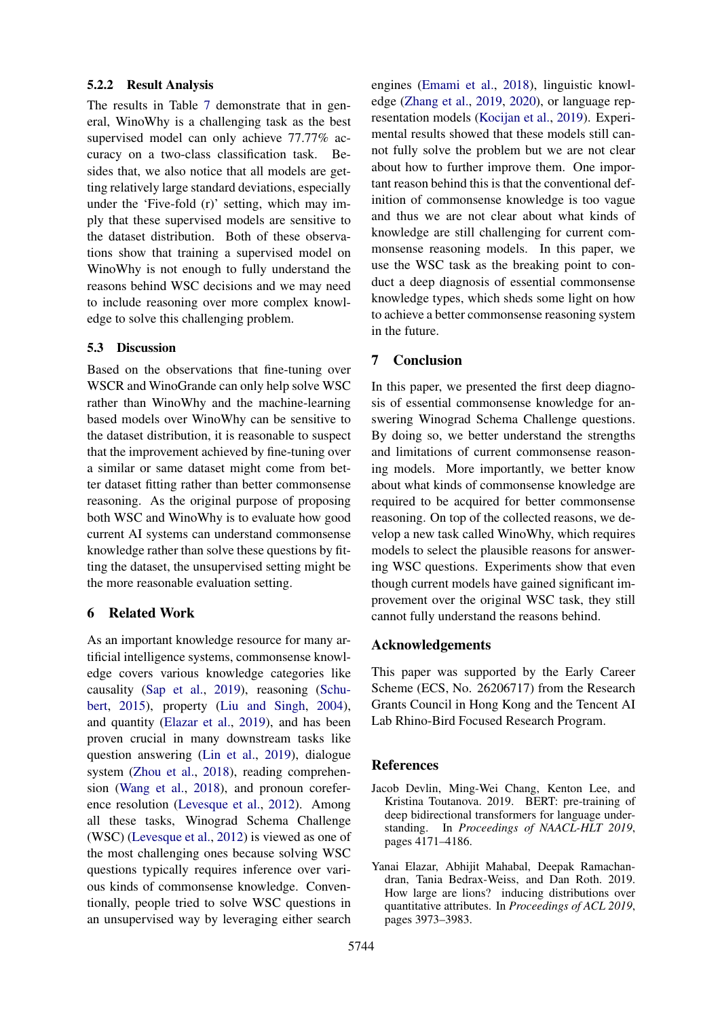#### 5.2.2 Result Analysis

The results in Table [7](#page-7-1) demonstrate that in general, WinoWhy is a challenging task as the best supervised model can only achieve 77.77% accuracy on a two-class classification task. Besides that, we also notice that all models are getting relatively large standard deviations, especially under the 'Five-fold (r)' setting, which may imply that these supervised models are sensitive to the dataset distribution. Both of these observations show that training a supervised model on WinoWhy is not enough to fully understand the reasons behind WSC decisions and we may need to include reasoning over more complex knowledge to solve this challenging problem.

# 5.3 Discussion

Based on the observations that fine-tuning over WSCR and WinoGrande can only help solve WSC rather than WinoWhy and the machine-learning based models over WinoWhy can be sensitive to the dataset distribution, it is reasonable to suspect that the improvement achieved by fine-tuning over a similar or same dataset might come from better dataset fitting rather than better commonsense reasoning. As the original purpose of proposing both WSC and WinoWhy is to evaluate how good current AI systems can understand commonsense knowledge rather than solve these questions by fitting the dataset, the unsupervised setting might be the more reasonable evaluation setting.

# <span id="page-8-0"></span>6 Related Work

As an important knowledge resource for many artificial intelligence systems, commonsense knowledge covers various knowledge categories like causality [\(Sap et al.,](#page-9-19) [2019\)](#page-9-19), reasoning [\(Schu](#page-9-20)[bert,](#page-9-20) [2015\)](#page-9-20), property [\(Liu and Singh,](#page-9-10) [2004\)](#page-9-10), and quantity [\(Elazar et al.,](#page-8-3) [2019\)](#page-8-3), and has been proven crucial in many downstream tasks like question answering [\(Lin et al.,](#page-9-21) [2019\)](#page-9-21), dialogue system [\(Zhou et al.,](#page-9-1) [2018\)](#page-9-1), reading comprehension [\(Wang et al.,](#page-9-22) [2018\)](#page-9-22), and pronoun coreference resolution [\(Levesque et al.,](#page-9-0) [2012\)](#page-9-0). Among all these tasks, Winograd Schema Challenge (WSC) [\(Levesque et al.,](#page-9-0) [2012\)](#page-9-0) is viewed as one of the most challenging ones because solving WSC questions typically requires inference over various kinds of commonsense knowledge. Conventionally, people tried to solve WSC questions in an unsupervised way by leveraging either search

engines [\(Emami et al.,](#page-9-5) [2018\)](#page-9-5), linguistic knowledge [\(Zhang et al.,](#page-9-23) [2019,](#page-9-23) [2020\)](#page-9-24), or language representation models [\(Kocijan et al.,](#page-9-6) [2019\)](#page-9-6). Experimental results showed that these models still cannot fully solve the problem but we are not clear about how to further improve them. One important reason behind this is that the conventional definition of commonsense knowledge is too vague and thus we are not clear about what kinds of knowledge are still challenging for current commonsense reasoning models. In this paper, we use the WSC task as the breaking point to conduct a deep diagnosis of essential commonsense knowledge types, which sheds some light on how to achieve a better commonsense reasoning system in the future.

# <span id="page-8-1"></span>7 Conclusion

In this paper, we presented the first deep diagnosis of essential commonsense knowledge for answering Winograd Schema Challenge questions. By doing so, we better understand the strengths and limitations of current commonsense reasoning models. More importantly, we better know about what kinds of commonsense knowledge are required to be acquired for better commonsense reasoning. On top of the collected reasons, we develop a new task called WinoWhy, which requires models to select the plausible reasons for answering WSC questions. Experiments show that even though current models have gained significant improvement over the original WSC task, they still cannot fully understand the reasons behind.

# Acknowledgements

This paper was supported by the Early Career Scheme (ECS, No. 26206717) from the Research Grants Council in Hong Kong and the Tencent AI Lab Rhino-Bird Focused Research Program.

# References

- <span id="page-8-2"></span>Jacob Devlin, Ming-Wei Chang, Kenton Lee, and Kristina Toutanova. 2019. BERT: pre-training of deep bidirectional transformers for language understanding. In *Proceedings of NAACL-HLT 2019*, pages 4171–4186.
- <span id="page-8-3"></span>Yanai Elazar, Abhijit Mahabal, Deepak Ramachandran, Tania Bedrax-Weiss, and Dan Roth. 2019. How large are lions? inducing distributions over quantitative attributes. In *Proceedings of ACL 2019*, pages 3973–3983.